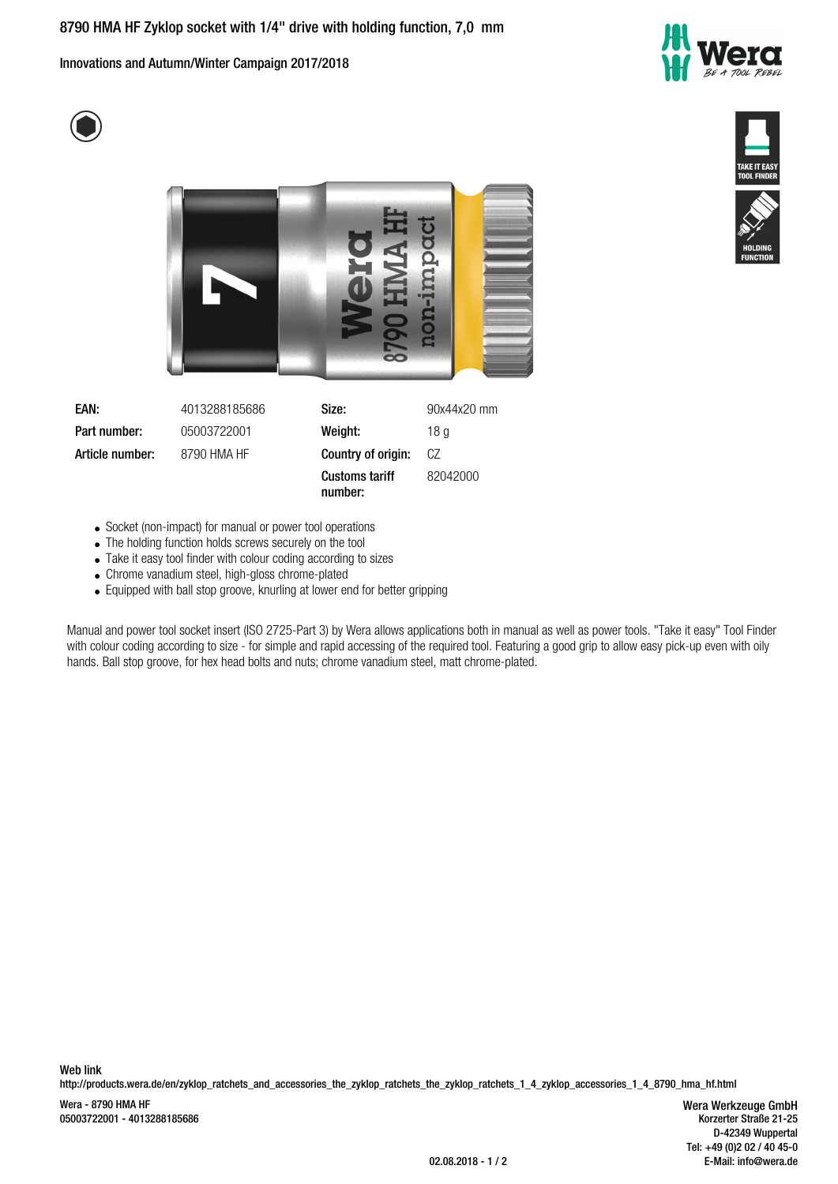Innovations and Autumn/Winter Campaign 2017/2018









- Socket (non-impact) for manual or power tool operations
- The holding function holds screws securely on the tool
- Take it easy tool finder with colour coding according to sizes
- Chrome vanadium steel, high-gloss chrome-plated
- Equipped with ball stop groove, knurling at lower end for better gripping

Manual and power tool socket insert (ISO 2725-Part 3) by Wera allows applications both in manual as well as power tools. "Take it easy" Tool Finder with colour coding according to size - for simple and rapid accessing of the required tool. Featuring a good grip to allow easy pick-up even with oily hands. Ball stop groove, for hex head bolts and nuts; chrome vanadium steel, matt chrome-plated.